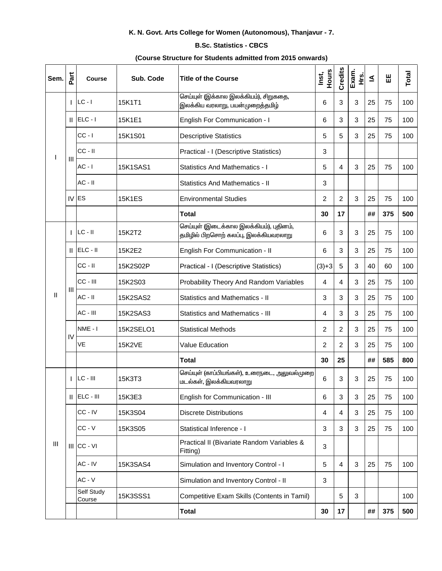## K. N. Govt. Arts College for Women (Autonomous), Thanjavur - 7.

## **B.Sc. Statistics - CBCS**

## (Course Structure for Students admitted from 2015 onwards)

| Sem.         | Part | <b>Course</b>        | Sub. Code       | <b>Title of the Course</b>                                                       | Hours<br>Inst, | Credits        | Exam.<br>Ψ.<br>Έ | ≤  | 出   | Total |
|--------------|------|----------------------|-----------------|----------------------------------------------------------------------------------|----------------|----------------|------------------|----|-----|-------|
| L            |      | $LC - I$             | 15K1T1          | செய்யுள் (இக்கால இலக்கியம்), சிறுகதை,<br>இலக்கிய வரலாறு, பயன்முறைத்தமிழ்         | 6              | 3              | 3                | 25 | 75  | 100   |
|              |      | $  $ ELC - $ $       | 15K1E1          | English For Communication - I                                                    | 6              | 3              | 3                | 25 | 75  | 100   |
|              | Ш    | $CC - I$             | 15K1S01         | <b>Descriptive Statistics</b>                                                    | 5              | 5              | 3                | 25 | 75  | 100   |
|              |      | $CC - II$            |                 | Practical - I (Descriptive Statistics)                                           | 3              |                |                  |    |     |       |
|              |      | $AC - I$             | <b>15K1SAS1</b> | <b>Statistics And Mathematics - I</b>                                            | 5              | 4              | 3                | 25 | 75  | 100   |
|              |      | $AC - II$            |                 | <b>Statistics And Mathematics - II</b>                                           | 3              |                |                  |    |     |       |
|              |      | IV ES                | <b>15K1ES</b>   | <b>Environmental Studies</b>                                                     | 2              | $\overline{c}$ | 3                | 25 | 75  | 100   |
|              |      |                      |                 | <b>Total</b>                                                                     | 30             | 17             |                  | ## | 375 | 500   |
| $\mathbf{I}$ |      | $LC - II$            | 15K2T2          | செய்யுள் (இடைக்கால இலக்கியம்), புதினம்,<br>தமிழில் பிறசொற் கலப்பு, இலக்கியவரலாறு | 6              | 3              | 3                | 25 | 75  | 100   |
|              | Ш    | $ ELC - II$          | 15K2E2          | English For Communication - II                                                   | 6              | 3              | 3                | 25 | 75  | 100   |
|              | Ш    | $CC - II$            | 15K2S02P        | Practical - I (Descriptive Statistics)                                           | $(3)+3$        | 5              | 3                | 40 | 60  | 100   |
|              |      | CC - III             | 15K2S03         | Probability Theory And Random Variables                                          | 4              | 4              | 3                | 25 | 75  | 100   |
|              |      | $AC - II$            | 15K2SAS2        | <b>Statistics and Mathematics - II</b>                                           | $\sqrt{3}$     | 3              | 3                | 25 | 75  | 100   |
|              |      | AC - III             | 15K2SAS3        | <b>Statistics and Mathematics - III</b>                                          | $\overline{4}$ | 3              | 3                | 25 | 75  | 100   |
|              | IV   | NME-I                | 15K2SELO1       | <b>Statistical Methods</b>                                                       | $\overline{2}$ | $\overline{2}$ | 3                | 25 | 75  | 100   |
|              |      | VE                   | <b>15K2VE</b>   | <b>Value Education</b>                                                           | 2              | 2              | 3                | 25 | 75  | 100   |
|              |      |                      |                 | <b>Total</b>                                                                     | 30             | 25             |                  | ## | 585 | 800   |
| III          |      | LC - III             | 15K3T3          | செய்யுள் (காப்பியங்கள்), உரைநடை, அலுவல்முறை<br>மடல்கள், இலக்கியவரலாறு            | 6              | 3              | 3                | 25 | 75  | 100   |
|              |      | $  $ ELC - $  $      | 15K3E3          | English for Communication - III                                                  | 6              | $\sqrt{3}$     | 3                | 25 | 75  | 100   |
|              |      | $CC - IV$            | 15K3S04         | <b>Discrete Distributions</b>                                                    | 4              | 4              | 3                | 25 | 75  | 100   |
|              |      | $CC - V$             | 15K3S05         | Statistical Inference - I                                                        | 3              | $\sqrt{3}$     | 3                | 25 | 75  | 100   |
|              |      | $III$ CC - $VI$      |                 | Practical II (Bivariate Random Variables &<br>Fitting)                           | 3              |                |                  |    |     |       |
|              |      | AC - IV              | 15K3SAS4        | Simulation and Inventory Control - I                                             | $\overline{5}$ | $\overline{4}$ | 3                | 25 | 75  | 100   |
|              |      | $AC - V$             |                 | Simulation and Inventory Control - II                                            | 3              |                |                  |    |     |       |
|              |      | Self Study<br>Course | 15K3SSS1        | Competitive Exam Skills (Contents in Tamil)                                      |                | 5              | $\mathbf{3}$     |    |     | 100   |
|              |      |                      |                 | <b>Total</b>                                                                     | 30             | 17             |                  | ## | 375 | 500   |